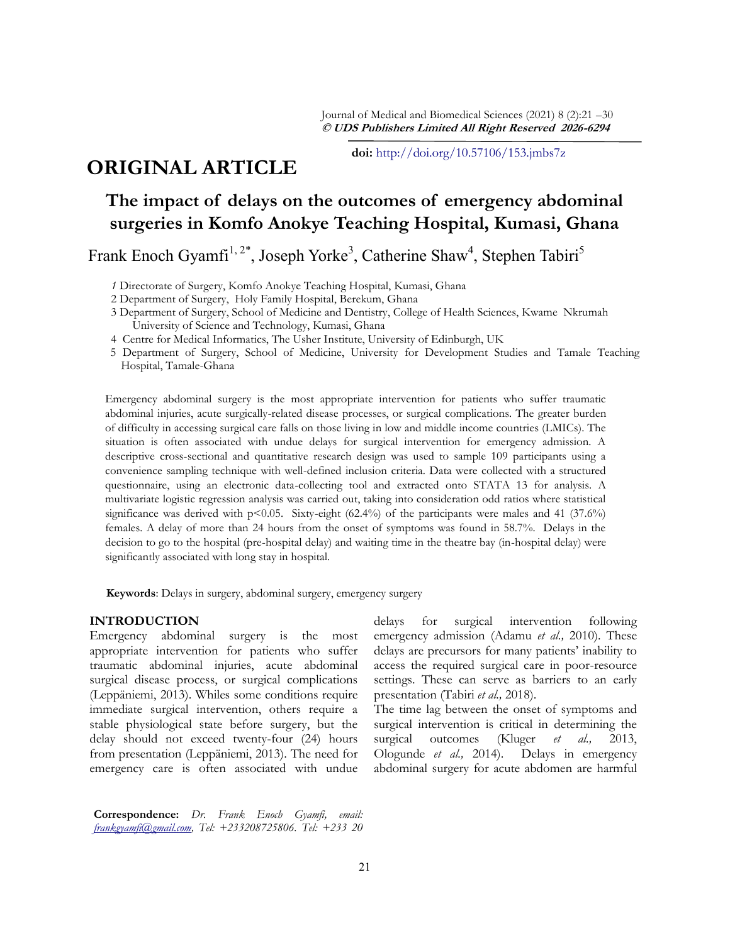Journal of Medical and Biomedical Sciences (2021) 8 (2):21 –30 **© UDS Publishers Limited All Right Reserved 2026-6294**

**doi:** [http://doi.org/10.57106/153.jmbs7z](http://dx.doi.org/10.4314/jmbs.v2i4.1)

# **ORIGINAL ARTICLE**

# **The impact of delays on the outcomes of emergency abdominal surgeries in Komfo Anokye Teaching Hospital, Kumasi, Ghana**

Frank Enoch Gyamfi<sup>1,2\*</sup>, Joseph Yorke<sup>3</sup>, Catherine Shaw<sup>4</sup>, Stephen Tabiri<sup>5</sup>

*1* Directorate of Surgery, Komfo Anokye Teaching Hospital, Kumasi, Ghana

- 2 Department of Surgery, Holy Family Hospital, Berekum, Ghana
- 3 Department of Surgery, School of Medicine and Dentistry, College of Health Sciences, Kwame Nkrumah University of Science and Technology, Kumasi, Ghana
- 4 Centre for Medical Informatics, The Usher Institute, University of Edinburgh, UK
- 5 Department of Surgery, School of Medicine, University for Development Studies and Tamale Teaching Hospital, Tamale-Ghana

Emergency abdominal surgery is the most appropriate intervention for patients who suffer traumatic abdominal injuries, acute surgically-related disease processes, or surgical complications. The greater burden of difficulty in accessing surgical care falls on those living in low and middle income countries (LMICs). The situation is often associated with undue delays for surgical intervention for emergency admission. A descriptive cross-sectional and quantitative research design was used to sample 109 participants using a convenience sampling technique with well-defined inclusion criteria. Data were collected with a structured questionnaire, using an electronic data-collecting tool and extracted onto STATA 13 for analysis. A multivariate logistic regression analysis was carried out, taking into consideration odd ratios where statistical significance was derived with  $p<0.05$ . Sixty-eight (62.4%) of the participants were males and 41 (37.6%) females. A delay of more than 24 hours from the onset of symptoms was found in 58.7%. Delays in the decision to go to the hospital (pre-hospital delay) and waiting time in the theatre bay (in-hospital delay) were significantly associated with long stay in hospital.

**Keywords**: Delays in surgery, abdominal surgery, emergency surgery

#### **INTRODUCTION**

Emergency abdominal surgery is the most appropriate intervention for patients who suffer traumatic abdominal injuries, acute abdominal surgical disease process, or surgical complications (Leppäniemi, 2013). Whiles some conditions require immediate surgical intervention, others require a stable physiological state before surgery, but the delay should not exceed twenty-four (24) hours from presentation (Leppäniemi, 2013). The need for emergency care is often associated with undue

delays for surgical intervention following emergency admission (Adamu *et al.,* 2010). These delays are precursors for many patients' inability to access the required surgical care in poor-resource settings. These can serve as barriers to an early presentation (Tabiri *et al.,* 2018).

The time lag between the onset of symptoms and surgical intervention is critical in determining the surgical outcomes (Kluger *et al.,* 2013, Ologunde *et al.,* 2014). Delays in emergency abdominal surgery for acute abdomen are harmful

**Correspondence:** *Dr. Frank Enoch Gyamfi, email: [frankgyamfi@gmail.com,](mailto:frankgyamfi@gmail.com) Tel: +233208725806. Tel: +233 20*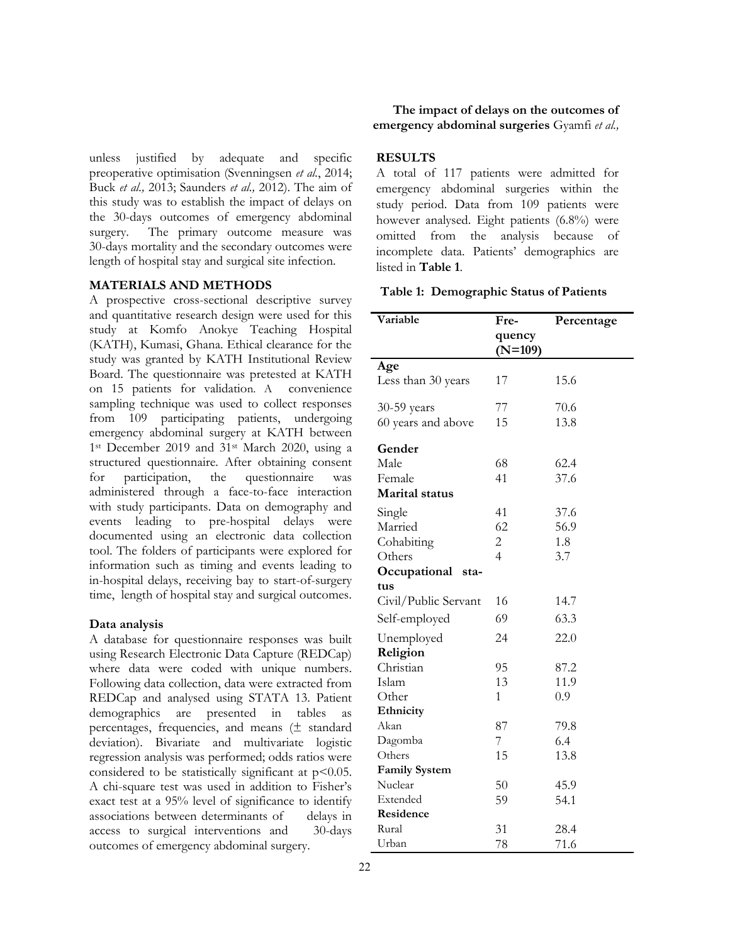unless justified by adequate and specific preoperative optimisation (Svenningsen *et al.*, 2014; Buck *et al.,* 2013; Saunders *et al.,* 2012). The aim of this study was to establish the impact of delays on the 30-days outcomes of emergency abdominal surgery. The primary outcome measure was 30-days mortality and the secondary outcomes were length of hospital stay and surgical site infection.

#### **MATERIALS AND METHODS**

A prospective cross-sectional descriptive survey and quantitative research design were used for this study at Komfo Anokye Teaching Hospital (KATH), Kumasi, Ghana. Ethical clearance for the study was granted by KATH Institutional Review Board. The questionnaire was pretested at KATH on 15 patients for validation. A convenience sampling technique was used to collect responses from 109 participating patients, undergoing emergency abdominal surgery at KATH between 1st December 2019 and 31st March 2020, using a structured questionnaire. After obtaining consent for participation, the questionnaire was administered through a face-to-face interaction with study participants. Data on demography and events leading to pre-hospital delays were documented using an electronic data collection tool. The folders of participants were explored for information such as timing and events leading to in-hospital delays, receiving bay to start-of-surgery time, length of hospital stay and surgical outcomes.

#### **Data analysis**

A database for questionnaire responses was built using Research Electronic Data Capture (REDCap) where data were coded with unique numbers. Following data collection, data were extracted from REDCap and analysed using STATA 13. Patient demographics are presented in tables as percentages, frequencies, and means (± standard deviation). Bivariate and multivariate logistic regression analysis was performed; odds ratios were considered to be statistically significant at  $p<0.05$ . A chi-square test was used in addition to Fisher's exact test at a 95% level of significance to identify associations between determinants of delays in access to surgical interventions and 30-days outcomes of emergency abdominal surgery.

**The impact of delays on the outcomes of emergency abdominal surgeries** Gyamfi *et al.,*

## **RESULTS**

A total of 117 patients were admitted for emergency abdominal surgeries within the study period. Data from 109 patients were however analysed. Eight patients (6.8%) were omitted from the analysis because of incomplete data. Patients' demographics are listed in **Table 1**.

**Table 1: Demographic Status of Patients**

| Variable              | Fre-                | Percentage |
|-----------------------|---------------------|------------|
|                       | quency<br>$(N=109)$ |            |
| Age                   |                     |            |
| Less than 30 years    | 17                  | 15.6       |
| 30-59 years           | 77                  | 70.6       |
| 60 years and above    | 15                  | 13.8       |
| Gender                |                     |            |
| Male                  | 68                  | 62.4       |
| Female                | 41                  | 37.6       |
| <b>Marital status</b> |                     |            |
| Single                | 41                  | 37.6       |
| Married               | 62                  | 56.9       |
| Cohabiting            | $\overline{c}$      | 1.8        |
| Others                | $\overline{4}$      | 3.7        |
| Occupational<br>sta-  |                     |            |
| tus                   |                     |            |
| Civil/Public Servant  | 16                  | 14.7       |
| Self-employed         | 69                  | 63.3       |
| Unemployed            | 24                  | 22.0       |
| Religion              |                     |            |
| Christian             | 95                  | 87.2       |
| Islam                 | 13                  | 11.9       |
| Other                 | 1                   | 0.9        |
| Ethnicity             |                     |            |
| Akan                  | 87                  | 79.8       |
| Dagomba               | 7                   | 6.4        |
| Others                | 15                  | 13.8       |
| <b>Family System</b>  |                     |            |
| Nuclear               | 50                  | 45.9       |
| Extended              | 59                  | 54.1       |
| Residence             |                     |            |
| Rural                 | 31                  | 28.4       |
| Urban                 | 78                  | 71.6       |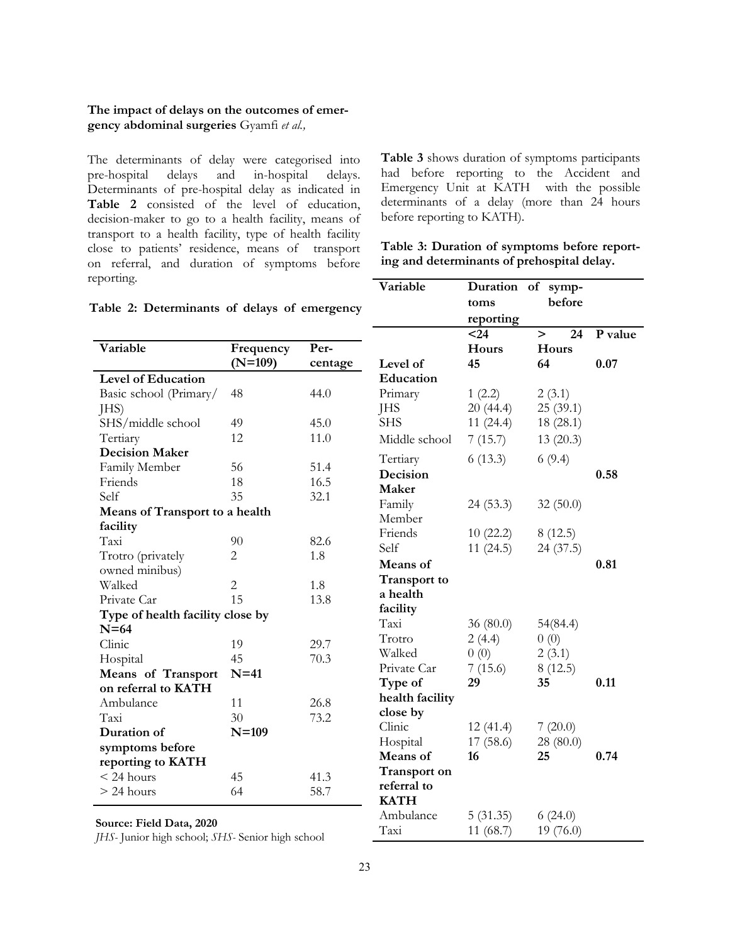The determinants of delay were categorised into pre-hospital delays and in-hospital delays. Determinants of pre-hospital delay as indicated in **Table 2** consisted of the level of education, decision-maker to go to a health facility, means of transport to a health facility, type of health facility close to patients' residence, means of transport on referral, and duration of symptoms before reporting.

**Table 3** shows duration of symptoms participants had before reporting to the Accident and Emergency Unit at KATH with the possible determinants of a delay (more than 24 hours before reporting to KATH).

| Table 3: Duration of symptoms before report- |  |
|----------------------------------------------|--|
| ing and determinants of prehospital delay.   |  |

| able 2: Determinants of delays of emergency |                        |                 | Variable                   | Duration of symp-<br>toms<br>reporting<br>$24$ | before<br>24<br>$\geq$ | P value |
|---------------------------------------------|------------------------|-----------------|----------------------------|------------------------------------------------|------------------------|---------|
| Variable                                    | Frequency<br>$(N=109)$ | Per-<br>centage | Level of                   | Hours<br>45                                    | Hours<br>64            | 0.07    |
| <b>Level of Education</b>                   |                        |                 | Education                  |                                                |                        |         |
| Basic school (Primary/<br>JHS)              | 48                     | 44.0            | Primary<br><b>JHS</b>      | 1(2.2)<br>20(44.4)                             | 2(3.1)<br>25(39.1)     |         |
| SHS/middle school                           | 49                     | 45.0            | <b>SHS</b>                 | 11(24.4)                                       | 18(28.1)               |         |
| Tertiary                                    | 12                     | 11.0            | Middle school              | 7(15.7)                                        | 13(20.3)               |         |
| <b>Decision Maker</b>                       |                        |                 |                            |                                                |                        |         |
| Family Member                               | 56                     | 51.4            | Tertiary<br>Decision       | 6(13.3)                                        | 6(9.4)                 | 0.58    |
| Friends                                     | 18                     | 16.5            | Maker                      |                                                |                        |         |
| Self                                        | 35                     | 32.1            | Family                     | 24(53.3)                                       |                        |         |
| Means of Transport to a health              |                        |                 | Member                     |                                                | 32(50.0)               |         |
| facility                                    |                        |                 | Friends                    | 10(22.2)                                       | 8(12.5)                |         |
| Taxi                                        | 90                     | 82.6            | Self                       | 11(24.5)                                       | 24 (37.5)              |         |
| Trotro (privately<br>owned minibus)         | $\overline{2}$         | 1.8             | Means of                   |                                                |                        | 0.81    |
| Walked                                      | $\overline{2}$         | 1.8             | <b>Transport to</b>        |                                                |                        |         |
| Private Car                                 | 15                     | 13.8            | a health                   |                                                |                        |         |
| Type of health facility close by            |                        |                 | facility                   |                                                |                        |         |
| $N=64$                                      |                        |                 | Taxi                       | 36(80.0)                                       | 54(84.4)               |         |
| Clinic                                      | 19                     | 29.7            | Trotro                     | 2(4.4)                                         | 0(0)                   |         |
| Hospital                                    | 45                     | 70.3            | Walked                     | 0(0)                                           | 2(3.1)                 |         |
| <b>Means of Transport</b>                   | $N=41$                 |                 | Private Car                | 7(15.6)                                        | 8(12.5)                |         |
| on referral to KATH                         |                        |                 | Type of                    | 29                                             | 35                     | 0.11    |
| Ambulance                                   | 11                     | 26.8            | health facility            |                                                |                        |         |
| Taxi                                        | 30                     | 73.2            | close by                   |                                                |                        |         |
| Duration of                                 | $N=109$                |                 | Clinic                     | 12(41.4)                                       | 7(20.0)                |         |
| symptoms before                             |                        |                 | Hospital                   | 17(58.6)                                       | 28 (80.0)              |         |
| reporting to KATH                           |                        |                 | Means of                   | 16                                             | 25                     | 0.74    |
| $<$ 24 hours                                | 45                     | 41.3            | <b>Transport on</b>        |                                                |                        |         |
| $> 24$ hours                                | 64                     | 58.7            | referral to<br><b>KATH</b> |                                                |                        |         |
| $\mathbf{m}$ is $\mathbf{n}$ .<br>0.000     |                        |                 | Ambulance                  | 5(31.35)                                       | 6(24.0)                |         |

| Table 2: Determinants of delays of emergency |  |
|----------------------------------------------|--|
|----------------------------------------------|--|

**Source: Field Data, 2020**

*JHS-* Junior high school; *SHS-* Senior high school

Taxi 11 (68.7) 19 (76.0)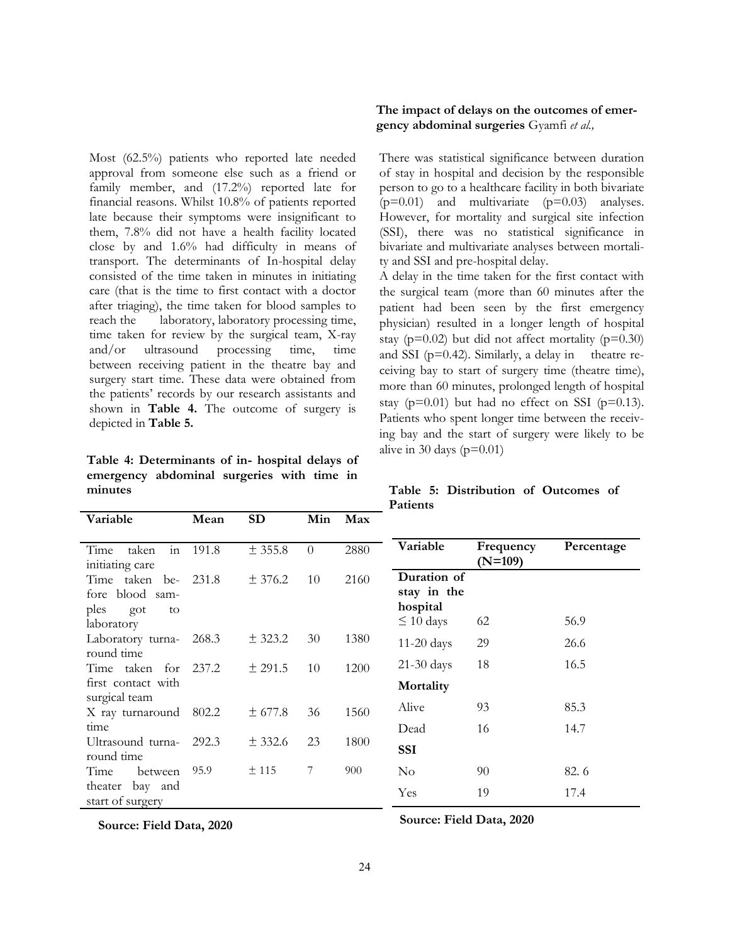Most (62.5%) patients who reported late needed approval from someone else such as a friend or family member, and (17.2%) reported late for financial reasons. Whilst 10.8% of patients reported late because their symptoms were insignificant to them, 7.8% did not have a health facility located close by and 1.6% had difficulty in means of transport. The determinants of In-hospital delay consisted of the time taken in minutes in initiating care (that is the time to first contact with a doctor after triaging), the time taken for blood samples to reach the laboratory, laboratory processing time, time taken for review by the surgical team, X-ray and/or ultrasound processing time, time between receiving patient in the theatre bay and surgery start time. These data were obtained from the patients' records by our research assistants and shown in **Table 4.** The outcome of surgery is depicted in **Table 5.** 

**Table 4: Determinants of in- hospital delays of emergency abdominal surgeries with time in minutes**

# **The impact of delays on the outcomes of emergency abdominal surgeries** Gyamfi *et al.,*

There was statistical significance between duration of stay in hospital and decision by the responsible person to go to a healthcare facility in both bivariate  $(p=0.01)$  and multivariate  $(p=0.03)$  analyses. However, for mortality and surgical site infection (SSI), there was no statistical significance in bivariate and multivariate analyses between mortality and SSI and pre-hospital delay.

A delay in the time taken for the first contact with the surgical team (more than 60 minutes after the patient had been seen by the first emergency physician) resulted in a longer length of hospital stay ( $p=0.02$ ) but did not affect mortality ( $p=0.30$ ) and SSI ( $p=0.42$ ). Similarly, a delay in theatre receiving bay to start of surgery time (theatre time), more than 60 minutes, prolonged length of hospital stay ( $p=0.01$ ) but had no effect on SSI ( $p=0.13$ ). Patients who spent longer time between the receiving bay and the start of surgery were likely to be alive in 30 days  $(p=0.01)$ 

|          | Table 5: Distribution of Outcomes of |  |  |
|----------|--------------------------------------|--|--|
| Patients |                                      |  |  |

| Variable                                                             | Mean  | SD        | Min      | Max  |                                                          |                        |            |
|----------------------------------------------------------------------|-------|-----------|----------|------|----------------------------------------------------------|------------------------|------------|
| $\overline{\text{in}}$<br>taken<br>Time<br>initiating care           | 191.8 | ± 355.8   | $\Omega$ | 2880 | Variable                                                 | Frequency<br>$(N=109)$ | Percentage |
| Time taken be-<br>fore blood sam-<br>ples<br>got<br>to<br>laboratory | 231.8 | ± 376.2   | 10       | 2160 | Duration of<br>stay in the<br>hospital<br>$\leq 10$ days | 62                     | 56.9       |
| Laboratory turna-<br>round time                                      | 268.3 | ± 323.2   | 30       | 1380 | $11-20$ days                                             | 29                     | 26.6       |
| Time taken for<br>first contact with                                 | 237.2 | $±$ 291.5 | 10       | 1200 | $21-30$ days<br>Mortality                                | 18                     | 16.5       |
| surgical team<br>X ray turnaround                                    | 802.2 | ± 677.8   | 36       | 1560 | Alive                                                    | 93                     | 85.3       |
| time<br>Ultrasound turna-<br>round time                              | 292.3 | ± 332.6   | 23       | 1800 | Dead<br><b>SSI</b>                                       | 16                     | 14.7       |
| Time<br>between                                                      | 95.9  | ±115      | 7        | 900  | No                                                       | 90                     | 82.6       |
| bay and<br>theater<br>start of surgery                               |       |           |          |      | Yes                                                      | 19                     | 17.4       |

**Source: Field Data, 2020**

**Source: Field Data, 2020**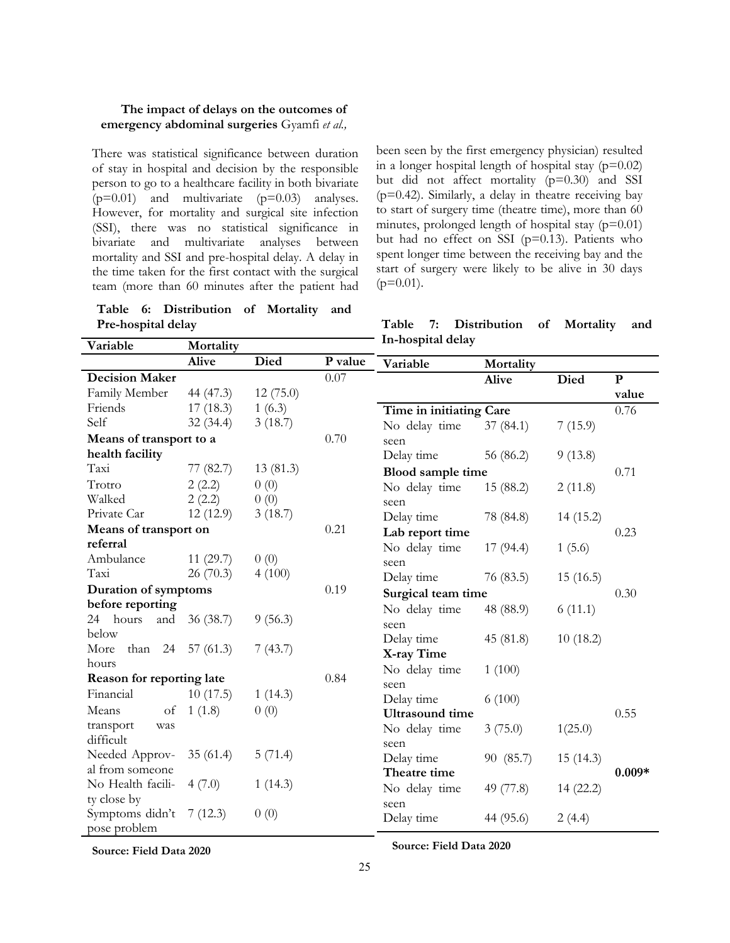There was statistical significance between duration of stay in hospital and decision by the responsible person to go to a healthcare facility in both bivariate  $(p=0.01)$  and multivariate  $(p=0.03)$  analyses. However, for mortality and surgical site infection (SSI), there was no statistical significance in bivariate and multivariate analyses between mortality and SSI and pre-hospital delay. A delay in the time taken for the first contact with the surgical team (more than 60 minutes after the patient had

**Table 6: Distribution of Mortality and Pre-hospital delay**

been seen by the first emergency physician) resulted in a longer hospital length of hospital stay  $(p=0.02)$ but did not affect mortality (p=0.30) and SSI  $(p=0.42)$ . Similarly, a delay in theatre receiving bay to start of surgery time (theatre time), more than 60 minutes, prolonged length of hospital stay  $(p=0.01)$ but had no effect on SSI  $(p=0.13)$ . Patients who spent longer time between the receiving bay and the start of surgery were likely to be alive in 30 days  $(p=0.01)$ .

**Table 7: Distribution of Mortality and In-hospital delay**

| Alive<br><b>Died</b><br>P value<br>Variable<br>Mortality                          |          |
|-----------------------------------------------------------------------------------|----------|
|                                                                                   |          |
| 0.07<br><b>Decision Maker</b><br><b>Died</b><br>${\bf P}$<br><b>Alive</b>         |          |
| Family Member<br>44 (47.3)<br>12(75.0)                                            | value    |
| Friends<br>1(6.3)<br>17(18.3)<br>Time in initiating Care<br>0.76                  |          |
| Self<br>32(34.4)<br>3(18.7)<br>No delay time<br>37(84.1)<br>7(15.9)               |          |
| 0.70<br>Means of transport to a<br>seen                                           |          |
| health facility<br>Delay time<br>56 (86.2)<br>9(13.8)                             |          |
| Taxi<br>77 (82.7)<br>13(81.3)<br>Blood sample time<br>0.71                        |          |
| Trotro<br>2(2.2)<br>0(0)<br>No delay time<br>15 (88.2)<br>2(11.8)                 |          |
| Walked<br>2(2.2)<br>0(0)<br>seen                                                  |          |
| Private Car<br>12(12.9)<br>3(18.7)<br>Delay time<br>78 (84.8)<br>14(15.2)         |          |
| 0.21<br>Means of transport on<br>Lab report time<br>0.23                          |          |
| referral<br>No delay time<br>17(94.4)<br>1(5.6)                                   |          |
| Ambulance<br>11(29.7)<br>0(0)<br>seen                                             |          |
| Taxi<br>4(100)<br>26(70.3)<br>Delay time<br>76 (83.5)<br>15(16.5)                 |          |
| Duration of symptoms<br>0.19<br>Surgical team time<br>0.30                        |          |
| before reporting<br>No delay time<br>48 (88.9)<br>6(11.1)                         |          |
| 24 hours<br>36(38.7)<br>9(56.3)<br>and<br>seen                                    |          |
| below<br>Delay time<br>45 (81.8)<br>10(18.2)                                      |          |
| 7(43.7)<br>than $24$ 57 (61.3)<br>More<br>X-ray Time                              |          |
| hours<br>No delay time<br>1(100)                                                  |          |
| 0.84<br>Reason for reporting late<br>seen                                         |          |
| Financial<br>10(17.5)<br>1(14.3)<br>Delay time<br>6(100)                          |          |
| Means<br>of<br>1(1.8)<br>0(0)<br><b>Ultrasound</b> time<br>0.55                   |          |
| transport<br>was<br>3(75.0)<br>1(25.0)<br>No delay time                           |          |
| difficult<br>seen                                                                 |          |
| Needed Approv-<br>35(61.4)<br>5(71.4)<br>Delay time<br>90 (85.7)<br>15(14.3)      |          |
| al from someone<br>Theatre time                                                   | $0.009*$ |
| No Health facili-<br>4(7.0)<br>1(14.3)<br>No delay time<br>49 (77.8)<br>14 (22.2) |          |
| ty close by<br>seen<br>Symptoms didn't<br>0(0)<br>7(12.3)                         |          |
| Delay time<br>44 (95.6)<br>2(4.4)<br>pose problem                                 |          |

**Source: Field Data 2020 Source: Field Data 2020**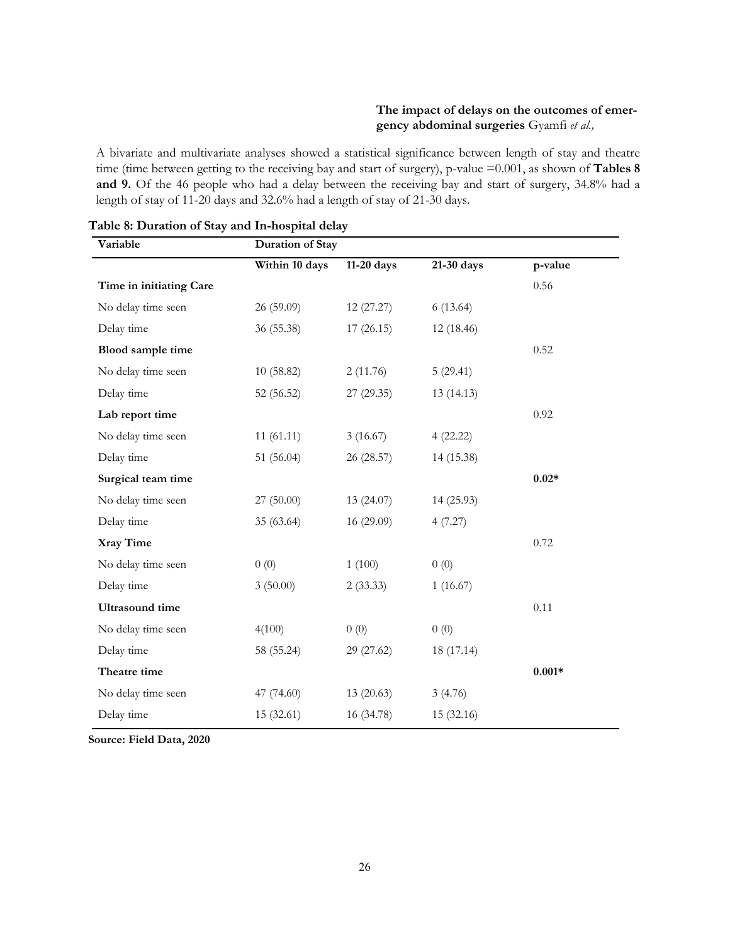A bivariate and multivariate analyses showed a statistical significance between length of stay and theatre time (time between getting to the receiving bay and start of surgery), p-value =0.001, as shown of **Tables 8 and 9.** Of the 46 people who had a delay between the receiving bay and start of surgery, 34.8% had a length of stay of 11-20 days and 32.6% had a length of stay of 21-30 days.

| Variable                | <b>Duration of Stay</b> |            |            |          |
|-------------------------|-------------------------|------------|------------|----------|
|                         | Within 10 days          | 11-20 days | 21-30 days | p-value  |
| Time in initiating Care |                         |            |            | 0.56     |
| No delay time seen      | 26 (59.09)              | 12(27.27)  | 6(13.64)   |          |
| Delay time              | 36 (55.38)              | 17(26.15)  | 12 (18.46) |          |
| Blood sample time       |                         |            |            | 0.52     |
| No delay time seen      | 10(58.82)               | 2(11.76)   | 5(29.41)   |          |
| Delay time              | 52 (56.52)              | 27(29.35)  | 13(14.13)  |          |
| Lab report time         |                         |            |            | 0.92     |
| No delay time seen      | 11(61.11)               | 3(16.67)   | 4(22.22)   |          |
| Delay time              | 51 (56.04)              | 26 (28.57) | 14 (15.38) |          |
| Surgical team time      |                         |            |            | $0.02*$  |
| No delay time seen      | 27(50.00)               | 13(24.07)  | 14 (25.93) |          |
| Delay time              | 35 (63.64)              | 16 (29.09) | 4(7.27)    |          |
| Xray Time               |                         |            |            | 0.72     |
| No delay time seen      | 0(0)                    | 1(100)     | 0(0)       |          |
| Delay time              | 3(50.00)                | 2(33.33)   | 1(16.67)   |          |
| <b>Ultrasound</b> time  |                         |            |            | 0.11     |
| No delay time seen      | 4(100)                  | 0(0)       | 0(0)       |          |
| Delay time              | 58 (55.24)              | 29 (27.62) | 18 (17.14) |          |
| Theatre time            |                         |            |            | $0.001*$ |
| No delay time seen      | 47 (74.60)              | 13(20.63)  | 3(4.76)    |          |
| Delay time              | 15 (32.61)              | 16 (34.78) | 15 (32.16) |          |

**Table 8: Duration of Stay and In-hospital delay**

**Source: Field Data, 2020**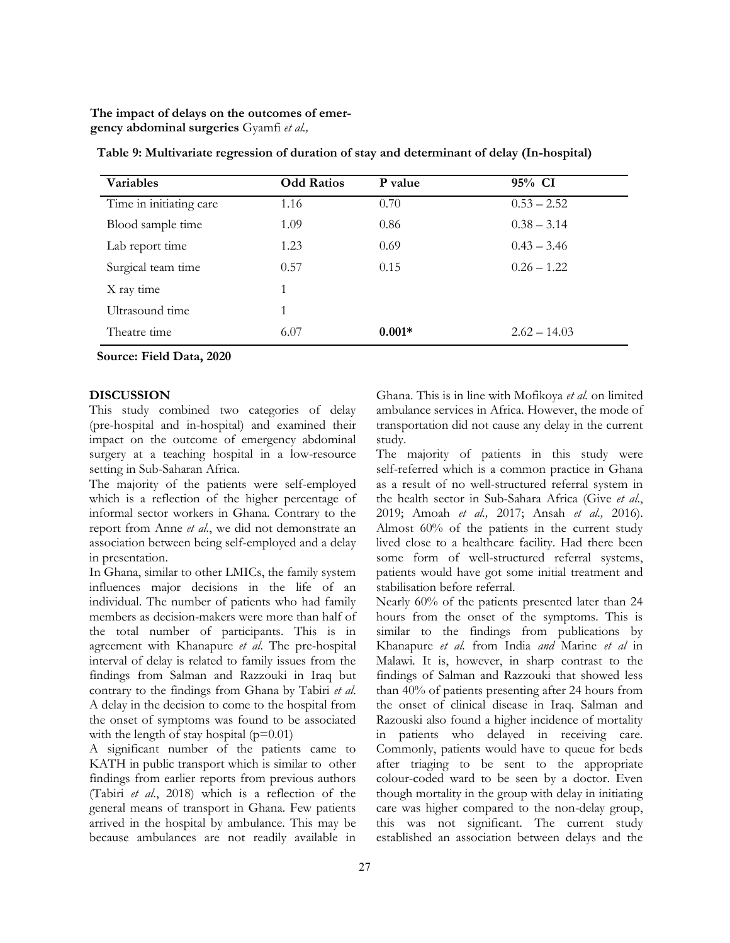| <b>Variables</b>        | <b>Odd Ratios</b> | P value  | 95% CI         |
|-------------------------|-------------------|----------|----------------|
| Time in initiating care | 1.16              | 0.70     | $0.53 - 2.52$  |
| Blood sample time       | 1.09              | 0.86     | $0.38 - 3.14$  |
| Lab report time         | 1.23              | 0.69     | $0.43 - 3.46$  |
| Surgical team time      | 0.57              | 0.15     | $0.26 - 1.22$  |
| X ray time              | 1                 |          |                |
| Ultrasound time         | 1                 |          |                |
| Theatre time            | 6.07              | $0.001*$ | $2.62 - 14.03$ |

**Table 9: Multivariate regression of duration of stay and determinant of delay (In-hospital)**

**Source: Field Data, 2020**

#### **DISCUSSION**

This study combined two categories of delay (pre-hospital and in-hospital) and examined their impact on the outcome of emergency abdominal surgery at a teaching hospital in a low-resource setting in Sub-Saharan Africa.

The majority of the patients were self-employed which is a reflection of the higher percentage of informal sector workers in Ghana. Contrary to the report from Anne *et al.*, we did not demonstrate an association between being self-employed and a delay in presentation.

In Ghana, similar to other LMICs, the family system influences major decisions in the life of an individual. The number of patients who had family members as decision-makers were more than half of the total number of participants. This is in agreement with Khanapure *et al*. The pre-hospital interval of delay is related to family issues from the findings from Salman and Razzouki in Iraq but contrary to the findings from Ghana by Tabiri *et al*. A delay in the decision to come to the hospital from the onset of symptoms was found to be associated with the length of stay hospital  $(p=0.01)$ 

A significant number of the patients came to KATH in public transport which is similar to other findings from earlier reports from previous authors (Tabiri *et al*., 2018) which is a reflection of the general means of transport in Ghana. Few patients arrived in the hospital by ambulance. This may be because ambulances are not readily available in

Ghana. This is in line with Mofikoya *et al.* on limited ambulance services in Africa. However, the mode of transportation did not cause any delay in the current study.

The majority of patients in this study were self-referred which is a common practice in Ghana as a result of no well-structured referral system in the health sector in Sub-Sahara Africa (Give *et al*., 2019; Amoah *et al.,* 2017; Ansah *et al.,* 2016). Almost 60% of the patients in the current study lived close to a healthcare facility. Had there been some form of well-structured referral systems, patients would have got some initial treatment and stabilisation before referral.

Nearly 60% of the patients presented later than 24 hours from the onset of the symptoms. This is similar to the findings from publications by Khanapure *et al.* from India *and* Marine *et al* in Malawi*.* It is, however, in sharp contrast to the findings of Salman and Razzouki that showed less than 40% of patients presenting after 24 hours from the onset of clinical disease in Iraq. Salman and Razouski also found a higher incidence of mortality in patients who delayed in receiving care. Commonly, patients would have to queue for beds after triaging to be sent to the appropriate colour-coded ward to be seen by a doctor. Even though mortality in the group with delay in initiating care was higher compared to the non-delay group, this was not significant. The current study established an association between delays and the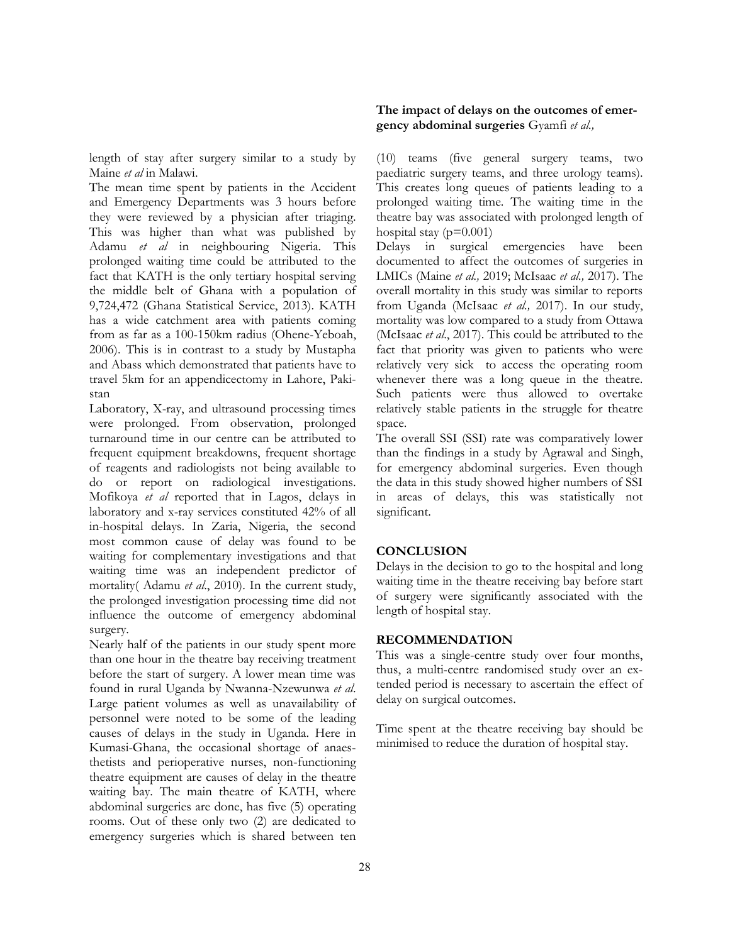length of stay after surgery similar to a study by Maine *et al* in Malawi.

The mean time spent by patients in the Accident and Emergency Departments was 3 hours before they were reviewed by a physician after triaging. This was higher than what was published by Adamu *et al* in neighbouring Nigeria. This prolonged waiting time could be attributed to the fact that KATH is the only tertiary hospital serving the middle belt of Ghana with a population of 9,724,472 (Ghana Statistical Service, 2013). KATH has a wide catchment area with patients coming from as far as a 100-150km radius (Ohene-Yeboah, 2006). This is in contrast to a study by Mustapha and Abass which demonstrated that patients have to travel 5km for an appendicectomy in Lahore, Pakistan

Laboratory, X-ray, and ultrasound processing times were prolonged. From observation, prolonged turnaround time in our centre can be attributed to frequent equipment breakdowns, frequent shortage of reagents and radiologists not being available to do or report on radiological investigations. Mofikoya *et al* reported that in Lagos, delays in laboratory and x-ray services constituted 42% of all in-hospital delays. In Zaria, Nigeria, the second most common cause of delay was found to be waiting for complementary investigations and that waiting time was an independent predictor of mortality( Adamu *et al*., 2010). In the current study, the prolonged investigation processing time did not influence the outcome of emergency abdominal surgery.

Nearly half of the patients in our study spent more than one hour in the theatre bay receiving treatment before the start of surgery. A lower mean time was found in rural Uganda by Nwanna-Nzewunwa *et al*. Large patient volumes as well as unavailability of personnel were noted to be some of the leading causes of delays in the study in Uganda. Here in Kumasi-Ghana, the occasional shortage of anaesthetists and perioperative nurses, non-functioning theatre equipment are causes of delay in the theatre waiting bay. The main theatre of KATH, where abdominal surgeries are done, has five (5) operating rooms. Out of these only two (2) are dedicated to emergency surgeries which is shared between ten

## **The impact of delays on the outcomes of emergency abdominal surgeries** Gyamfi *et al.,*

(10) teams (five general surgery teams, two paediatric surgery teams, and three urology teams). This creates long queues of patients leading to a prolonged waiting time. The waiting time in the theatre bay was associated with prolonged length of hospital stay ( $p=0.001$ )

Delays in surgical emergencies have been documented to affect the outcomes of surgeries in LMICs (Maine *et al.,* 2019; McIsaac *et al.,* 2017). The overall mortality in this study was similar to reports from Uganda (McIsaac *et al.,* 2017). In our study, mortality was low compared to a study from Ottawa (McIsaac *et al*., 2017). This could be attributed to the fact that priority was given to patients who were relatively very sick to access the operating room whenever there was a long queue in the theatre. Such patients were thus allowed to overtake relatively stable patients in the struggle for theatre space.

The overall SSI (SSI) rate was comparatively lower than the findings in a study by Agrawal and Singh, for emergency abdominal surgeries. Even though the data in this study showed higher numbers of SSI in areas of delays, this was statistically not significant.

## **CONCLUSION**

Delays in the decision to go to the hospital and long waiting time in the theatre receiving bay before start of surgery were significantly associated with the length of hospital stay.

#### **RECOMMENDATION**

This was a single-centre study over four months, thus, a multi-centre randomised study over an extended period is necessary to ascertain the effect of delay on surgical outcomes.

Time spent at the theatre receiving bay should be minimised to reduce the duration of hospital stay.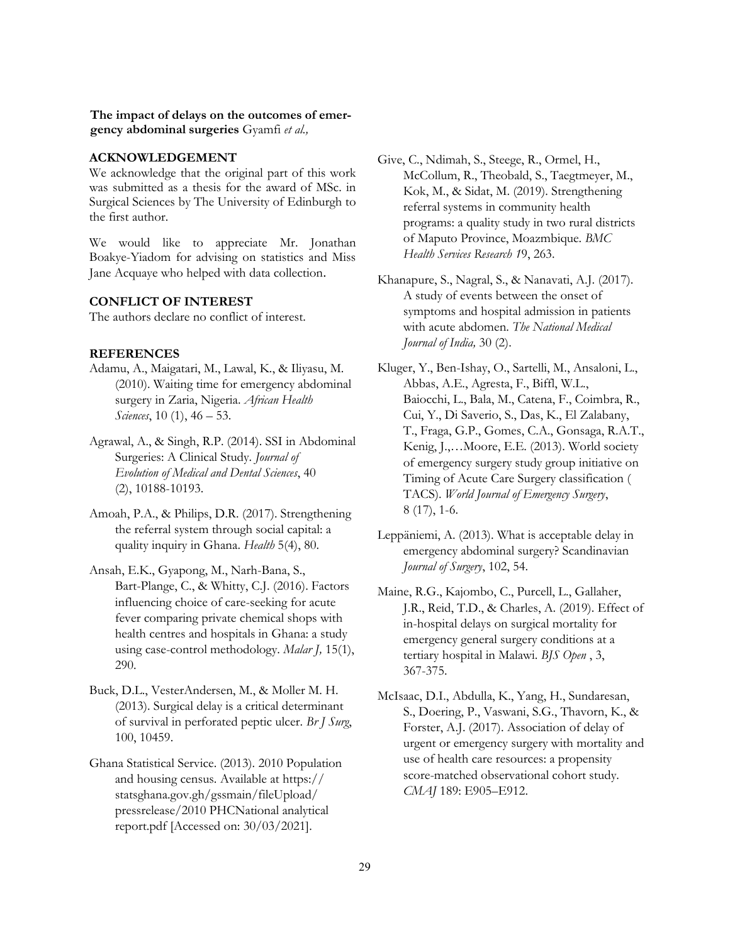#### **ACKNOWLEDGEMENT**

We acknowledge that the original part of this work was submitted as a thesis for the award of MSc. in Surgical Sciences by The University of Edinburgh to the first author.

We would like to appreciate Mr. Jonathan Boakye-Yiadom for advising on statistics and Miss Jane Acquaye who helped with data collection.

## **CONFLICT OF INTEREST**

The authors declare no conflict of interest.

## **REFERENCES**

- Adamu, A., Maigatari, M., Lawal, K., & Iliyasu, M. (2010). Waiting time for emergency abdominal surgery in Zaria, Nigeria. *African Health Sciences*, 10 (1), 46 – 53.
- Agrawal, A., & Singh, R.P. (2014). SSI in Abdominal Surgeries: A Clinical Study. *Journal of Evolution of Medical and Dental Sciences*, 40 (2), 10188-10193.
- Amoah, P.A., & Philips, D.R. (2017). Strengthening the referral system through social capital: a quality inquiry in Ghana. *Health* 5(4), 80.
- Ansah, E.K., Gyapong, M., Narh-Bana, S., Bart-Plange, C., & Whitty, C.J. (2016). Factors influencing choice of care-seeking for acute fever comparing private chemical shops with health centres and hospitals in Ghana: a study using case-control methodology. *Malar J,* 15(1), 290.
- Buck, D.L., VesterAndersen, M., & Moller M. H. (2013). Surgical delay is a critical determinant of survival in perforated peptic ulcer. *Br J Surg*, 100, 10459.
- Ghana Statistical Service. (2013). 2010 Population and housing census. Available at https:// statsghana.gov.gh/gssmain/fileUpload/ pressrelease/2010 PHCNational analytical report.pdf [Accessed on: 30/03/2021].
- Give, C., Ndimah, S., Steege, R., Ormel, H., McCollum, R., Theobald, S., Taegtmeyer, M., Kok, M., & Sidat, M. (2019). Strengthening referral systems in community health programs: a quality study in two rural districts of Maputo Province, Moazmbique. *BMC Health Services Research 1*9, 263.
- Khanapure, S., Nagral, S., & Nanavati, A.J. (2017). A study of events between the onset of symptoms and hospital admission in patients with acute abdomen. *The National Medical Journal of India,* 30 (2).
- Kluger, Y., Ben-Ishay, O., Sartelli, M., Ansaloni, L., Abbas, A.E., Agresta, F., Biffl, W.L., Baiocchi, L., Bala, M., Catena, F., Coimbra, R., Cui, Y., Di Saverio, S., Das, K., El Zalabany, T., Fraga, G.P., Gomes, C.A., Gonsaga, R.A.T., Kenig, J.,…Moore, E.E. (2013). World society of emergency surgery study group initiative on Timing of Acute Care Surgery classification ( TACS). *World Journal of Emergency Surgery*, 8 (17), 1-6.
- Leppäniemi, A. (2013). What is acceptable delay in emergency abdominal surgery? Scandinavian *Journal of Surgery*, 102, 54.
- Maine, R.G., Kajombo, C., Purcell, L., Gallaher, J.R., Reid, T.D., & Charles, A. (2019). Effect of in-hospital delays on surgical mortality for emergency general surgery conditions at a tertiary hospital in Malawi. *BJS Open* , 3, 367-375.
- McIsaac, D.I., Abdulla, K., Yang, H., Sundaresan, S., Doering, P., Vaswani, S.G., Thavorn, K., & Forster, A.J. (2017). Association of delay of urgent or emergency surgery with mortality and use of health care resources: a propensity score-matched observational cohort study. *CMAJ* 189: E905–E912.